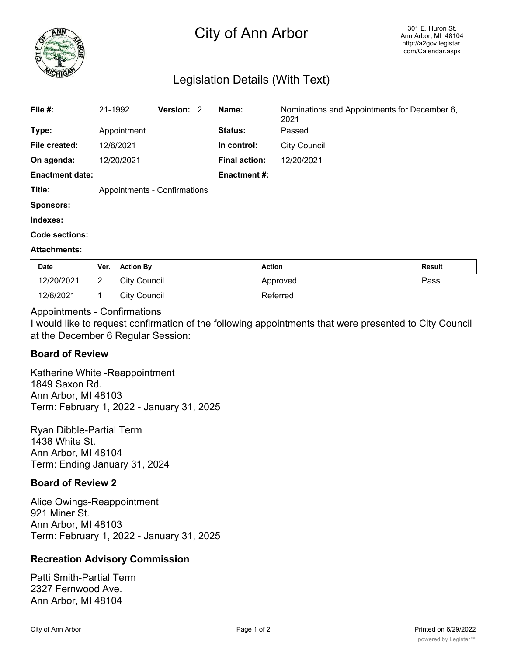

# City of Ann Arbor

## Legislation Details (With Text)

| File #:                | 21-1992                      |                     | <b>Version: 2</b> |  | Name:                | Nominations and Appointments for December 6,<br>2021 |        |
|------------------------|------------------------------|---------------------|-------------------|--|----------------------|------------------------------------------------------|--------|
| Type:                  |                              | Appointment         |                   |  | Status:              | Passed                                               |        |
| File created:          |                              | 12/6/2021           |                   |  | In control:          | <b>City Council</b>                                  |        |
| On agenda:             |                              | 12/20/2021          |                   |  | <b>Final action:</b> | 12/20/2021                                           |        |
| <b>Enactment date:</b> |                              |                     |                   |  | <b>Enactment #:</b>  |                                                      |        |
| Title:                 | Appointments - Confirmations |                     |                   |  |                      |                                                      |        |
| <b>Sponsors:</b>       |                              |                     |                   |  |                      |                                                      |        |
| Indexes:               |                              |                     |                   |  |                      |                                                      |        |
| Code sections:         |                              |                     |                   |  |                      |                                                      |        |
| <b>Attachments:</b>    |                              |                     |                   |  |                      |                                                      |        |
| Date                   | <b>Action By</b><br>Ver.     |                     |                   |  | <b>Action</b>        |                                                      | Result |
| 12/20/2021             | $\overline{2}$               | <b>City Council</b> |                   |  |                      | Pass<br>Approved                                     |        |

### Appointments - Confirmations

I would like to request confirmation of the following appointments that were presented to City Council at the December 6 Regular Session:

### **Board of Review**

Katherine White -Reappointment 1849 Saxon Rd. Ann Arbor, MI 48103 Term: February 1, 2022 - January 31, 2025

12/6/2021 1 City Council 1 Referred

Ryan Dibble-Partial Term 1438 White St. Ann Arbor, MI 48104 Term: Ending January 31, 2024

### **Board of Review 2**

Alice Owings-Reappointment 921 Miner St. Ann Arbor, MI 48103 Term: February 1, 2022 - January 31, 2025

### **Recreation Advisory Commission**

Patti Smith-Partial Term 2327 Fernwood Ave. Ann Arbor, MI 48104